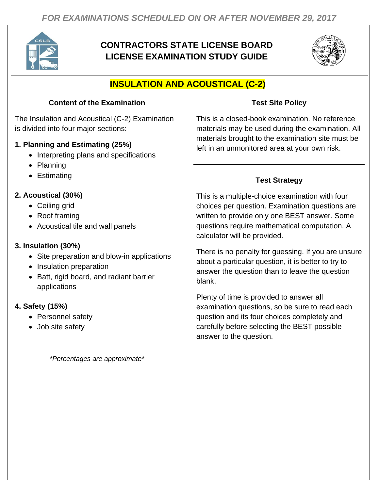

# **CONTRACTORS STATE LICENSE BOARD LICENSE EXAMINATION STUDY GUIDE**



# **INSULATION AND ACOUSTICAL (C-2)**

### **Content of the Examination**

The Insulation and Acoustical (C-2) Examination is divided into four major sections:

#### **1. Planning and Estimating (25%)**

- Interpreting plans and specifications
- Planning
- Estimating

### **2. Acoustical (30%)**

- Ceiling grid
- Roof framing
- Acoustical tile and wall panels

#### **3. Insulation (30%)**

- Site preparation and blow-in applications
- Insulation preparation
- Batt, rigid board, and radiant barrier applications

#### **4. Safety (15%)**

- Personnel safety
- Job site safety

*\*Percentages are approximate\**

#### **Test Site Policy**

This is a closed-book examination. No reference materials may be used during the examination. All materials brought to the examination site must be left in an unmonitored area at your own risk.

## **Test Strategy**

This is a multiple-choice examination with four choices per question. Examination questions are written to provide only one BEST answer. Some questions require mathematical computation. A calculator will be provided.

There is no penalty for guessing. If you are unsure about a particular question, it is better to try to answer the question than to leave the question blank.

Plenty of time is provided to answer all examination questions, so be sure to read each question and its four choices completely and carefully before selecting the BEST possible answer to the question.